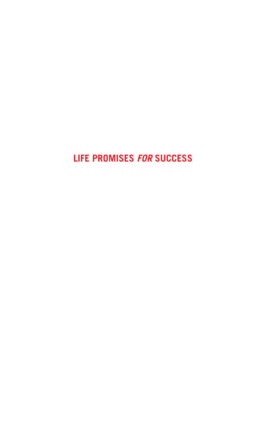### **Life Promises** *for* **Success**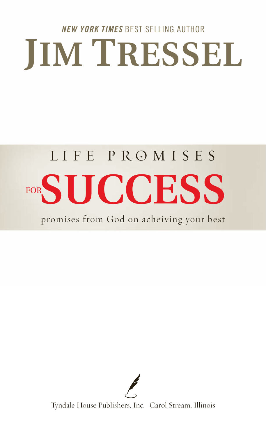## **JIM TRESSEL** *NEW YORK TIMES* BEST SELLING AUTHOR

# LIFE PROMISES FOR**SUCCESS**

promises from God on acheiving your best



Tyndale House Publishers, Inc. • Carol Stream, Illinois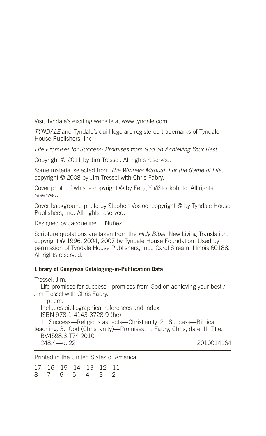Visit Tyndale's exciting website at www.tyndale.com.

*TYNDALE* and Tyndale's quill logo are registered trademarks of Tyndale House Publishers, Inc.

*Life Promises for Success: Promises from God on Achieving Your Best*

Copyright © 2011 by Jim Tressel. All rights reserved.

Some material selected from *The Winners Manual: For the Game of Life*, copyright © 2008 by Jim Tressel with Chris Fabry.

Cover photo of whistle copyright © by Feng Yu/iStockphoto. All rights reserved.

Cover background photo by Stephen Vosloo, copyright © by Tyndale House Publishers, Inc. All rights reserved.

Designed by Jacqueline L. Nuñez

Scripture quotations are taken from the *Holy Bible*, New Living Translation, copyright © 1996, 2004, 2007 by Tyndale House Foundation. Used by permission of Tyndale House Publishers, Inc., Carol Stream, Illinois 60188. All rights reserved.

#### **Library of Congress Cataloging-in-Publication Data**

Tressel, Jim.

Life promises for success : promises from God on achieving your best / Jim Tressel with Chris Fabry.

 p. cm. Includes bibliographical references and index. ISBN 978-1-4143-3728-9 (hc) 1. Success—Religious aspects—Christianity. 2. Success—Biblical teaching. 3. God (Christianity)—Promises. I. Fabry, Chris, date. II. Title. BV4598.3.T74 2010 248.4—dc22 2010014164

Printed in the United States of America

17 16 15 14 13 12 11 8 7 6 5 4 3 2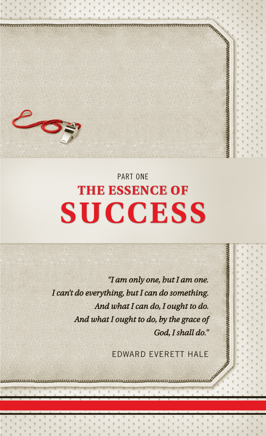

### **The Essence of Success** Part One

*"I am only one, but I am one. I can't do everything, but I can do something. And what I can do, I ought to do. And what I ought to do, by the grace of God, I shall do."* 

EDWARD EVERETT HALE

**MANAGEMENT MANAGEMENT**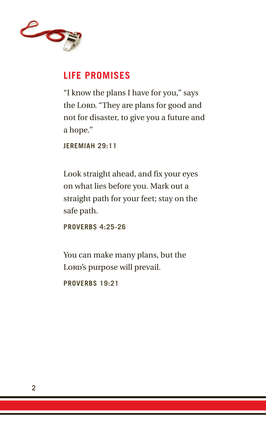

#### **Life Promises**

"I know the plans I have for you," says the Lord. "They are plans for good and not for disaster, to give you a future and a hope."

**Jeremiah 29:11**

Look straight ahead, and fix your eyes on what lies before you. Mark out a straight path for your feet; stay on the safe path.

**Proverbs 4:25-26**

You can make many plans, but the Lord's purpose will prevail.

**Proverbs 19:21**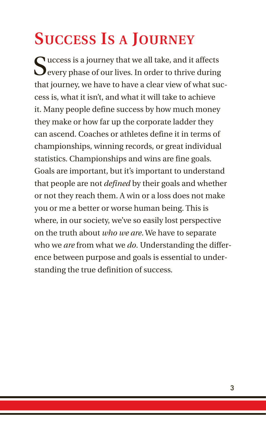### **Success Is a Journey**

Success is a journey that we all take, and it affects<br>Severy phase of our lives. In order to thrive during that journey, we have to have a clear view of what success is, what it isn't, and what it will take to achieve it. Many people define success by how much money they make or how far up the corporate ladder they can ascend. Coaches or athletes define it in terms of championships, winning records, or great individual statistics. Championships and wins are fine goals. Goals are important, but it's important to understand that people are not *defined* by their goals and whether or not they reach them. A win or a loss does not make you or me a better or worse human being. This is where, in our society, we've so easily lost perspective on the truth about *who we are*. We have to separate who we *are* from what we *do*. Understanding the difference between purpose and goals is essential to understanding the true definition of success.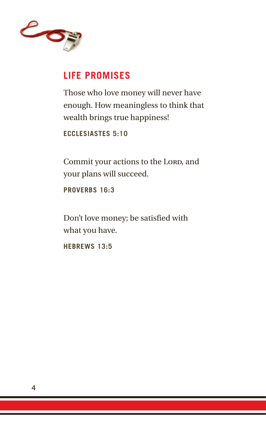

#### **Life Promises**

Those who love money will never have enough. How meaningless to think that wealth brings true happiness!

**Ecclesiastes 5:10**

Commit your actions to the Lord, and your plans will succeed.

**Proverbs 16:3**

Don't love money; be satisfied with what you have.

**Hebrews 13:5**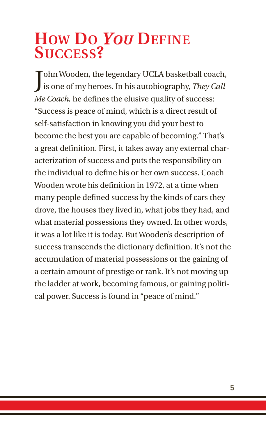### **How Do** *You* **Define Success?**

John Wooden, the legendary UCLA basketball coach,<br>is one of my heroes. In his autobiography, They Call is one of my heroes. In his autobiography, *They Call Me Coach,* he defines the elusive quality of success: "Success is peace of mind, which is a direct result of self-satisfaction in knowing you did your best to become the best you are capable of becoming." That's a great definition. First, it takes away any external characterization of success and puts the responsibility on the individual to define his or her own success. Coach Wooden wrote his definition in 1972, at a time when many people defined success by the kinds of cars they drove, the houses they lived in, what jobs they had, and what material possessions they owned. In other words, it was a lot like it is today. But Wooden's description of success transcends the dictionary definition. It's not the accumulation of material possessions or the gaining of a certain amount of prestige or rank. It's not moving up the ladder at work, becoming famous, or gaining political power. Success is found in "peace of mind."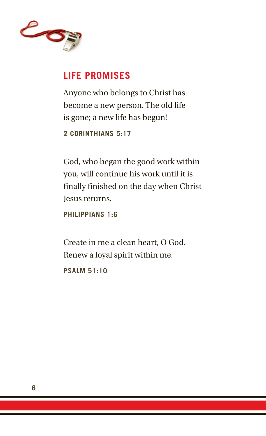

#### **Life Promises**

Anyone who belongs to Christ has become a new person. The old life is gone; a new life has begun!

**2 Corinthians 5:17**

God, who began the good work within you, will continue his work until it is finally finished on the day when Christ Jesus returns.

**Philippians 1:6**

Create in me a clean heart, O God. Renew a loyal spirit within me.

**Psalm 51:10**